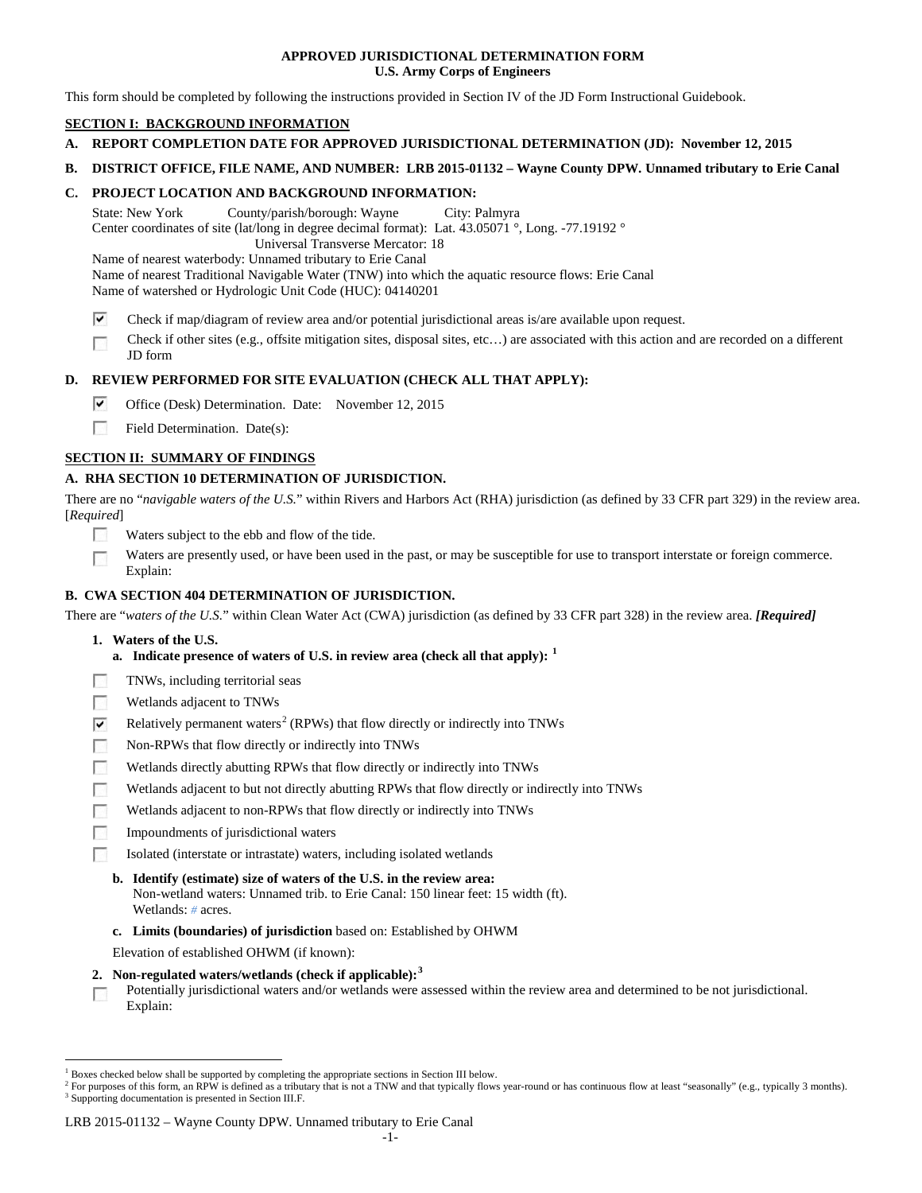## **APPROVED JURISDICTIONAL DETERMINATION FORM U.S. Army Corps of Engineers**

This form should be completed by following the instructions provided in Section IV of the JD Form Instructional Guidebook.

# **SECTION I: BACKGROUND INFORMATION**

- **A. REPORT COMPLETION DATE FOR APPROVED JURISDICTIONAL DETERMINATION (JD): November 12, 2015**
- **B. DISTRICT OFFICE, FILE NAME, AND NUMBER: LRB 2015-01132 – Wayne County DPW. Unnamed tributary to Erie Canal**

## **C. PROJECT LOCATION AND BACKGROUND INFORMATION:**

State: New York County/parish/borough: Wayne City: Palmyra Center coordinates of site (lat/long in degree decimal format): Lat. 43.05071 °, Long. -77.19192 ° Universal Transverse Mercator: 18

Name of nearest waterbody: Unnamed tributary to Erie Canal Name of nearest Traditional Navigable Water (TNW) into which the aquatic resource flows: Erie Canal Name of watershed or Hydrologic Unit Code (HUC): 04140201

- ⊽ Check if map/diagram of review area and/or potential jurisdictional areas is/are available upon request.
- Check if other sites (e.g., offsite mitigation sites, disposal sites, etc…) are associated with this action and are recorded on a different  $\overline{\phantom{a}}$ JD form

## **D. REVIEW PERFORMED FOR SITE EVALUATION (CHECK ALL THAT APPLY):**

- ⊽ Office (Desk) Determination. Date: November 12, 2015
- $\sim$ Field Determination. Date(s):

## **SECTION II: SUMMARY OF FINDINGS**

## **A. RHA SECTION 10 DETERMINATION OF JURISDICTION.**

There are no "*navigable waters of the U.S.*" within Rivers and Harbors Act (RHA) jurisdiction (as defined by 33 CFR part 329) in the review area. [*Required*]

- Waters subject to the ebb and flow of the tide.
- Waters are presently used, or have been used in the past, or may be susceptible for use to transport interstate or foreign commerce. F Explain:

# **B. CWA SECTION 404 DETERMINATION OF JURISDICTION.**

There are "*waters of the U.S.*" within Clean Water Act (CWA) jurisdiction (as defined by 33 CFR part 328) in the review area. *[Required]*

- **1. Waters of the U.S.**
	- **a. Indicate presence of waters of U.S. in review area (check all that apply): [1](#page-0-0)**
- TNWs, including territorial seas  $\sim$
- 50 Wetlands adjacent to TNWs
- $\overline{\mathbf{v}}$ Relatively permanent waters<sup>[2](#page-0-1)</sup> (RPWs) that flow directly or indirectly into TNWs
- $\overline{a}$ Non-RPWs that flow directly or indirectly into TNWs
- 50 Wetlands directly abutting RPWs that flow directly or indirectly into TNWs
- Wetlands adjacent to but not directly abutting RPWs that flow directly or indirectly into TNWs
- Wetlands adjacent to non-RPWs that flow directly or indirectly into TNWs **R**
- $\overline{\phantom{a}}$ Impoundments of jurisdictional waters
- Isolated (interstate or intrastate) waters, including isolated wetlands

## **b. Identify (estimate) size of waters of the U.S. in the review area:**

- Non-wetland waters: Unnamed trib. to Erie Canal: 150 linear feet: 15 width (ft). Wetlands: *#* acres.
- **c. Limits (boundaries) of jurisdiction** based on: Established by OHWM

Elevation of established OHWM (if known):

- **2. Non-regulated waters/wetlands (check if applicable): [3](#page-0-2)**
- Potentially jurisdictional waters and/or wetlands were assessed within the review area and determined to be not jurisdictional.  $\sim$ Explain:

### LRB 2015-01132 – Wayne County DPW. Unnamed tributary to Erie Canal

<span id="page-0-0"></span><sup>&</sup>lt;sup>1</sup> Boxes checked below shall be supported by completing the appropriate sections in Section III below.

<span id="page-0-2"></span><span id="page-0-1"></span><sup>&</sup>lt;sup>2</sup> For purposes of this form, an RPW is defined as a tributary that is not a TNW and that typically flows year-round or has continuous flow at least "seasonally" (e.g., typically 3 months). <sup>3</sup> Supporting documentation is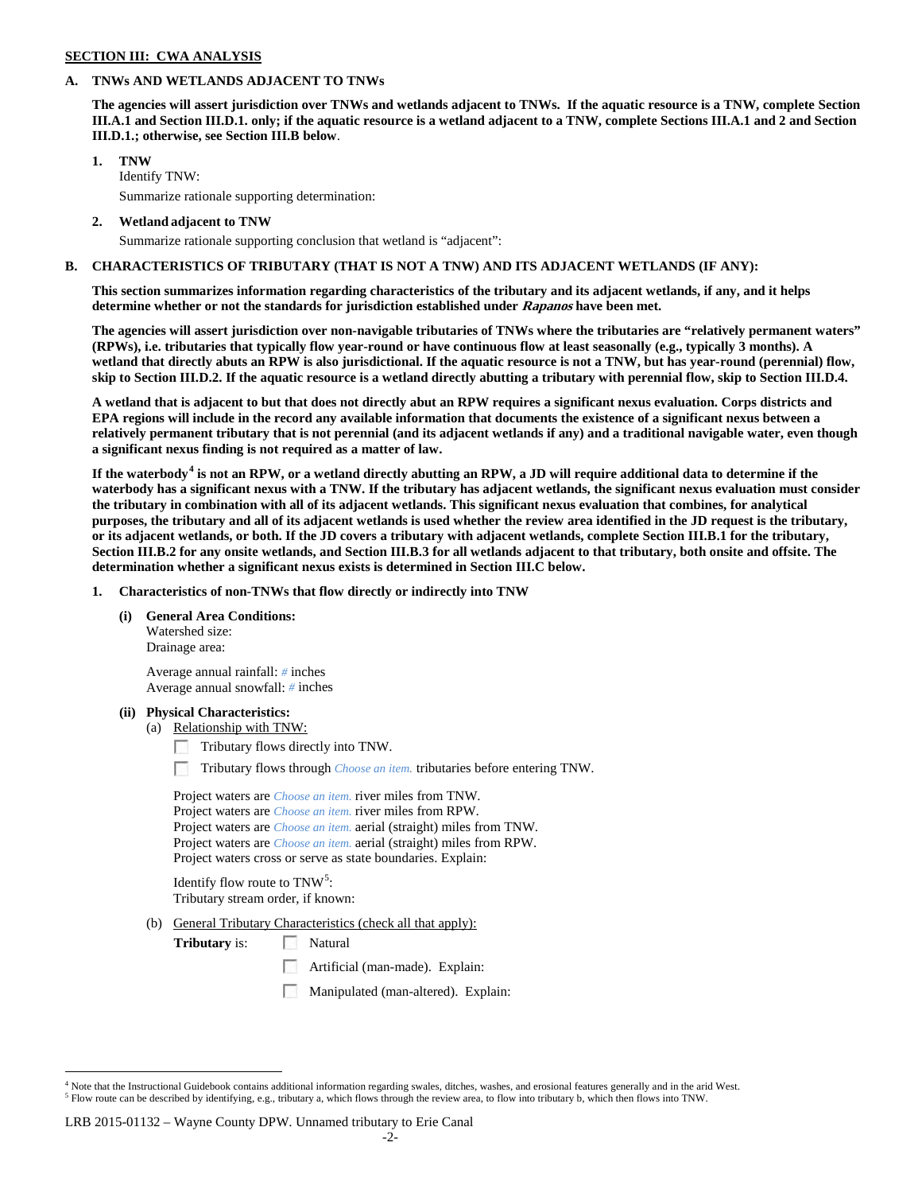### **SECTION III: CWA ANALYSIS**

### **A. TNWs AND WETLANDS ADJACENT TO TNWs**

**The agencies will assert jurisdiction over TNWs and wetlands adjacent to TNWs. If the aquatic resource is a TNW, complete Section III.A.1 and Section III.D.1. only; if the aquatic resource is a wetland adjacent to a TNW, complete Sections III.A.1 and 2 and Section III.D.1.; otherwise, see Section III.B below**.

## **1. TNW**

Identify TNW: Summarize rationale supporting determination:

**2. Wetland adjacent to TNW**

Summarize rationale supporting conclusion that wetland is "adjacent":

### **B. CHARACTERISTICS OF TRIBUTARY (THAT IS NOT A TNW) AND ITS ADJACENT WETLANDS (IF ANY):**

**This section summarizes information regarding characteristics of the tributary and its adjacent wetlands, if any, and it helps determine whether or not the standards for jurisdiction established under Rapanos have been met.** 

**The agencies will assert jurisdiction over non-navigable tributaries of TNWs where the tributaries are "relatively permanent waters" (RPWs), i.e. tributaries that typically flow year-round or have continuous flow at least seasonally (e.g., typically 3 months). A wetland that directly abuts an RPW is also jurisdictional. If the aquatic resource is not a TNW, but has year-round (perennial) flow, skip to Section III.D.2. If the aquatic resource is a wetland directly abutting a tributary with perennial flow, skip to Section III.D.4.**

**A wetland that is adjacent to but that does not directly abut an RPW requires a significant nexus evaluation. Corps districts and EPA regions will include in the record any available information that documents the existence of a significant nexus between a relatively permanent tributary that is not perennial (and its adjacent wetlands if any) and a traditional navigable water, even though a significant nexus finding is not required as a matter of law.**

**If the waterbody[4](#page-1-0) is not an RPW, or a wetland directly abutting an RPW, a JD will require additional data to determine if the waterbody has a significant nexus with a TNW. If the tributary has adjacent wetlands, the significant nexus evaluation must consider the tributary in combination with all of its adjacent wetlands. This significant nexus evaluation that combines, for analytical purposes, the tributary and all of its adjacent wetlands is used whether the review area identified in the JD request is the tributary, or its adjacent wetlands, or both. If the JD covers a tributary with adjacent wetlands, complete Section III.B.1 for the tributary, Section III.B.2 for any onsite wetlands, and Section III.B.3 for all wetlands adjacent to that tributary, both onsite and offsite. The determination whether a significant nexus exists is determined in Section III.C below.**

**1. Characteristics of non-TNWs that flow directly or indirectly into TNW**

### **(i) General Area Conditions:**

Watershed size: Drainage area:

Average annual rainfall: *#* inches Average annual snowfall: *#* inches

### **(ii) Physical Characteristics:**

(a) Relationship with TNW:

Tributary flows directly into TNW.

Tributary flows through *Choose an item.* tributaries before entering TNW.

Project waters are *Choose an item.* river miles from TNW. Project waters are *Choose an item.* river miles from RPW. Project waters are *Choose an item.* aerial (straight) miles from TNW. Project waters are *Choose an item.* aerial (straight) miles from RPW. Project waters cross or serve as state boundaries. Explain:

Identify flow route to  $\text{TNW}^5$  $\text{TNW}^5$ : Tributary stream order, if known:

(b) General Tributary Characteristics (check all that apply):

**Tributary** is: Natural

- Artificial (man-made). Explain:
- Manipulated (man-altered). Explain:

### LRB 2015-01132 – Wayne County DPW. Unnamed tributary to Erie Canal

<span id="page-1-1"></span><span id="page-1-0"></span> $4$  Note that the Instructional Guidebook contains additional information regarding swales, ditches, washes, and erosional features generally and in the arid West.<br> $5$  Flow route can be described by identifying, e.g., tri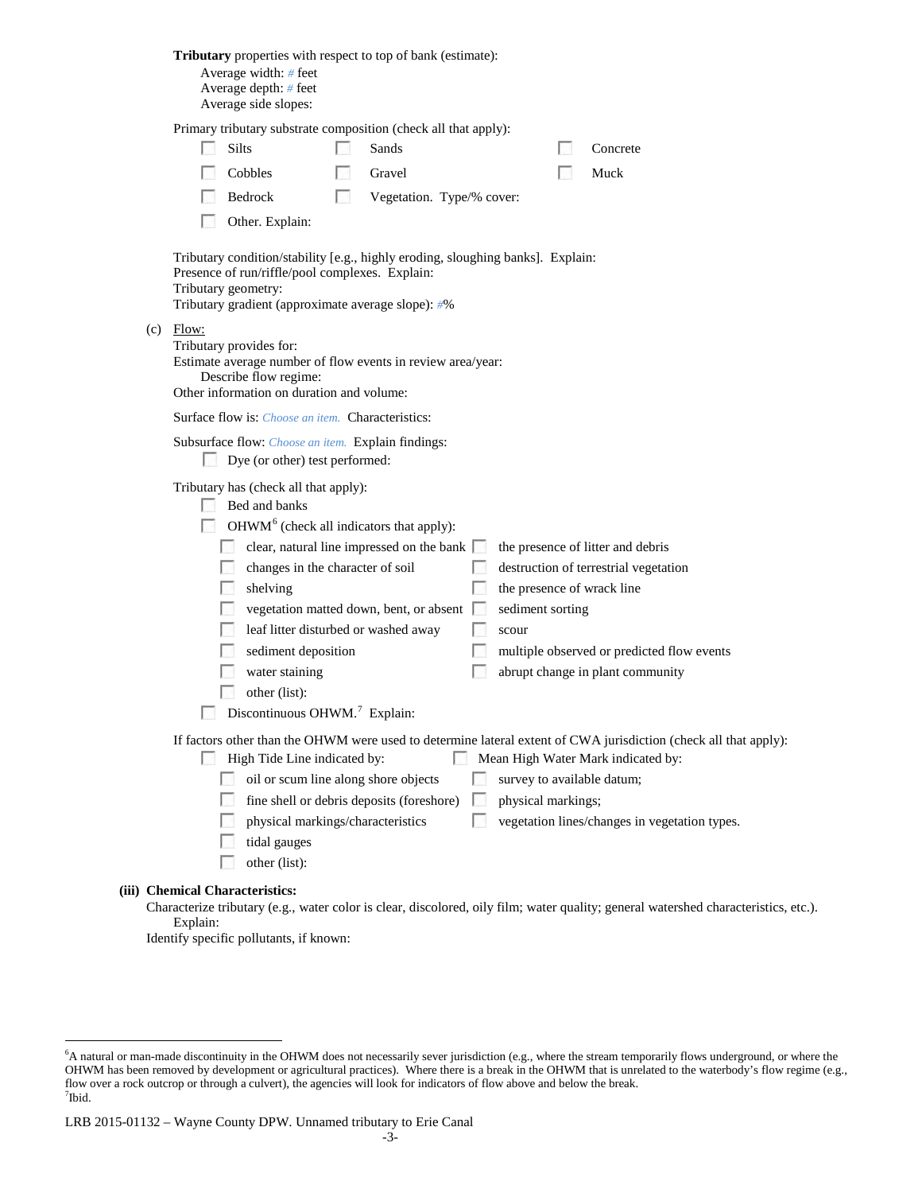| Tributary properties with respect to top of bank (estimate):<br>Average width: # feet<br>Average depth: # feet<br>Average side slopes:                                                                                                                                                                                                                                                                                                |                                                                                                                                                                                                                         |
|---------------------------------------------------------------------------------------------------------------------------------------------------------------------------------------------------------------------------------------------------------------------------------------------------------------------------------------------------------------------------------------------------------------------------------------|-------------------------------------------------------------------------------------------------------------------------------------------------------------------------------------------------------------------------|
| Primary tributary substrate composition (check all that apply):<br>Silts<br>Sands<br>Cobbles<br>Gravel<br>Bedrock<br><b>For</b><br>Vegetation. Type/% cover:<br>Other. Explain:                                                                                                                                                                                                                                                       | Concrete<br>Muck                                                                                                                                                                                                        |
| Tributary condition/stability [e.g., highly eroding, sloughing banks]. Explain:<br>Presence of run/riffle/pool complexes. Explain:<br>Tributary geometry:<br>Tributary gradient (approximate average slope): #%                                                                                                                                                                                                                       |                                                                                                                                                                                                                         |
| $(c)$ Flow:<br>Tributary provides for:<br>Estimate average number of flow events in review area/year:<br>Describe flow regime:<br>Other information on duration and volume:                                                                                                                                                                                                                                                           |                                                                                                                                                                                                                         |
| Surface flow is: <i>Choose an item.</i> Characteristics:                                                                                                                                                                                                                                                                                                                                                                              |                                                                                                                                                                                                                         |
| Subsurface flow: Choose an item. Explain findings:<br>Dye (or other) test performed:                                                                                                                                                                                                                                                                                                                                                  |                                                                                                                                                                                                                         |
| Tributary has (check all that apply):<br>Bed and banks<br>$\Box$ OHWM <sup>6</sup> (check all indicators that apply):<br>clear, natural line impressed on the bank $\Box$<br>changes in the character of soil<br>shelving<br><b>Barbara</b><br>vegetation matted down, bent, or absent<br>leaf litter disturbed or washed away<br>sediment deposition<br>water staining<br>other (list):<br>Discontinuous OHWM. <sup>7</sup> Explain: | the presence of litter and debris<br>destruction of terrestrial vegetation<br>the presence of wrack line<br>sediment sorting<br>scour<br>multiple observed or predicted flow events<br>abrupt change in plant community |
| If factors other than the OHWM were used to determine lateral extent of CWA jurisdiction (check all that apply):<br>High Tide Line indicated by:<br>oil or scum line along shore objects<br>fine shell or debris deposits (foreshore)<br>$\sim$<br>physical markings/characteristics<br><b>I</b><br>tidal gauges<br>other (list):                                                                                                     | Mean High Water Mark indicated by:<br>survey to available datum;<br>physical markings;<br>vegetation lines/changes in vegetation types.                                                                                 |
| (iii) Chemical Characteristics:                                                                                                                                                                                                                                                                                                                                                                                                       |                                                                                                                                                                                                                         |

Characterize tributary (e.g., water color is clear, discolored, oily film; water quality; general watershed characteristics, etc.). Explain:

Identify specific pollutants, if known:

<span id="page-2-1"></span><span id="page-2-0"></span> <sup>6</sup> <sup>6</sup>A natural or man-made discontinuity in the OHWM does not necessarily sever jurisdiction (e.g., where the stream temporarily flows underground, or where the OHWM has been removed by development or agricultural practices). Where there is a break in the OHWM that is unrelated to the waterbody's flow regime (e.g., flow over a rock outcrop or through a culvert), the agencies will look for indicators of flow above and below the break. 7 Ibid.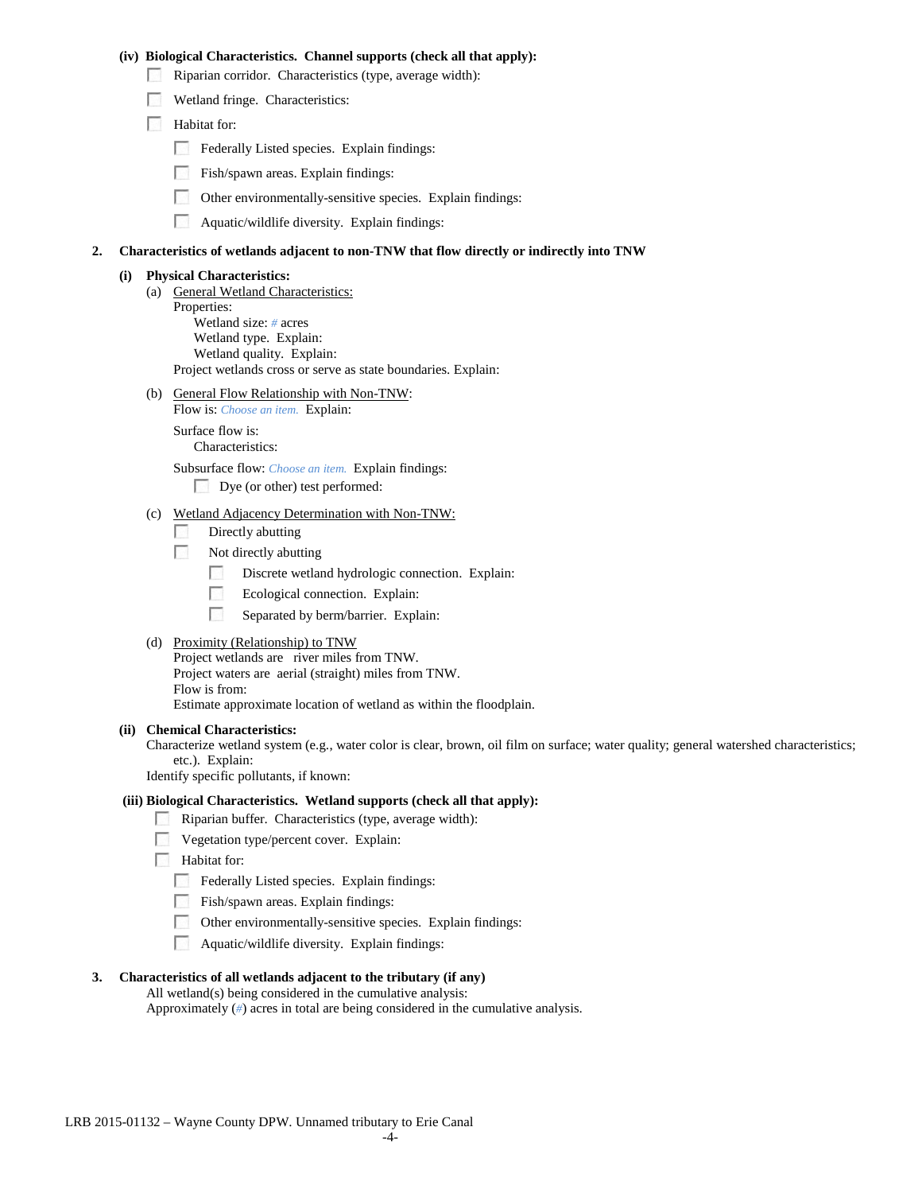### **(iv) Biological Characteristics. Channel supports (check all that apply):**

- Riparian corridor. Characteristics (type, average width):
- Wetland fringe. Characteristics:
- Habitat for:
	- Federally Listed species. Explain findings:
	- Fish/spawn areas. Explain findings:
	- $\mathcal{L}_{\mathrm{c}}$  ,  $\mathcal{L}_{\mathrm{c}}$ Other environmentally-sensitive species. Explain findings:
	- $\mathcal{L}_{\mathcal{A}}$ Aquatic/wildlife diversity. Explain findings:

### **2. Characteristics of wetlands adjacent to non-TNW that flow directly or indirectly into TNW**

## **(i) Physical Characteristics:**

- (a) General Wetland Characteristics: Properties: Wetland size: *#* acres Wetland type. Explain: Wetland quality. Explain: Project wetlands cross or serve as state boundaries. Explain:
- (b) General Flow Relationship with Non-TNW: Flow is: *Choose an item.* Explain:

Surface flow is: Characteristics:

Subsurface flow: *Choose an item.* Explain findings:

Dye (or other) test performed:

# (c) Wetland Adjacency Determination with Non-TNW:

- 7 Directly abutting
- **1999** Not directly abutting
	- Discrete wetland hydrologic connection. Explain:  $\sim$
	- $\overline{a}$ Ecological connection. Explain:
	- $\mathcal{L}_{\mathcal{D}}$ Separated by berm/barrier. Explain:
- (d) Proximity (Relationship) to TNW

Project wetlands are river miles from TNW. Project waters are aerial (straight) miles from TNW. Flow is from: Estimate approximate location of wetland as within the floodplain.

#### **(ii) Chemical Characteristics:**

Characterize wetland system (e.g., water color is clear, brown, oil film on surface; water quality; general watershed characteristics; etc.). Explain:

Identify specific pollutants, if known:

### **(iii) Biological Characteristics. Wetland supports (check all that apply):**

- Riparian buffer. Characteristics (type, average width):
- **Vegetation type/percent cover.** Explain:
- **Habitat for:** 
	- $\Box$  Federally Listed species. Explain findings:
	- Fish/spawn areas. Explain findings:
	- Other environmentally-sensitive species. Explain findings:
	- **Aquatic/wildlife diversity.** Explain findings:

## **3. Characteristics of all wetlands adjacent to the tributary (if any)**

All wetland(s) being considered in the cumulative analysis: Approximately (*#*) acres in total are being considered in the cumulative analysis.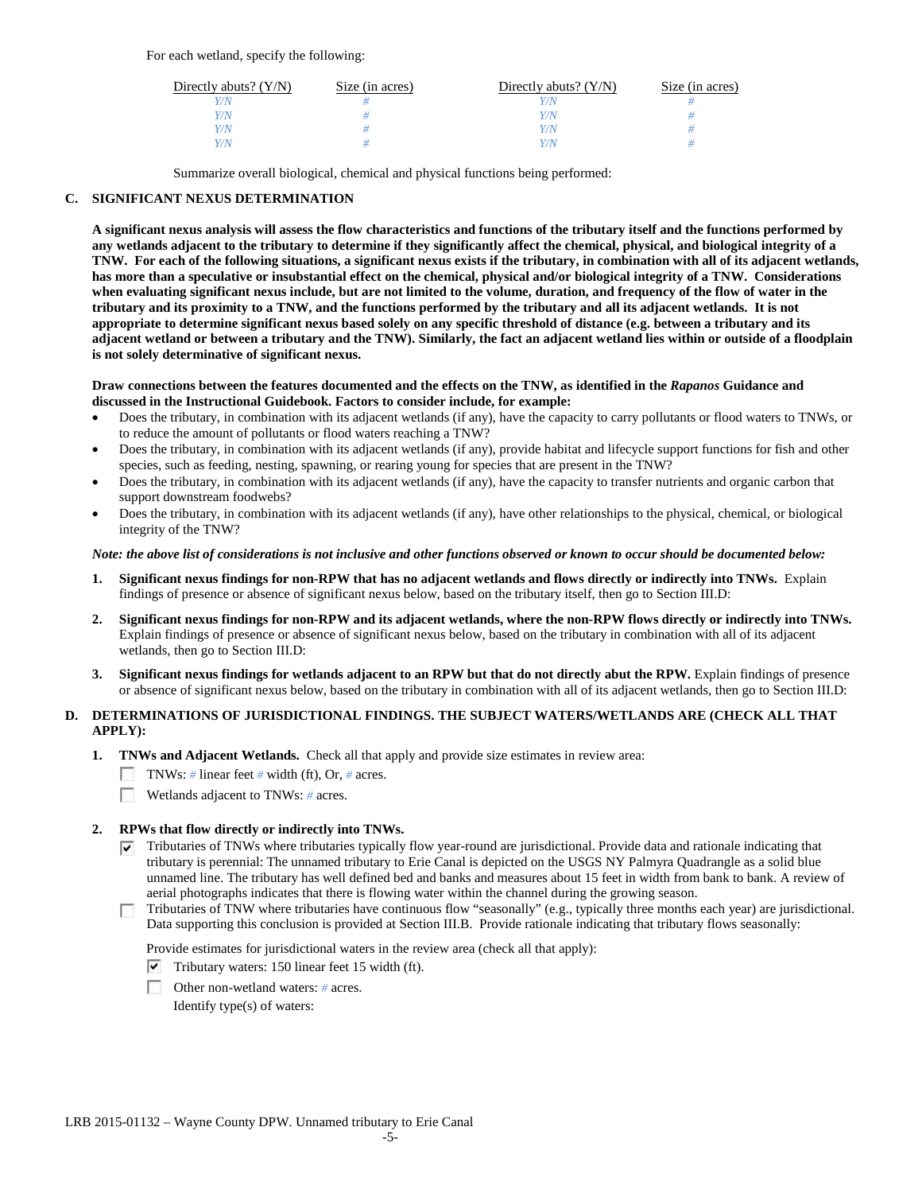For each wetland, specify the following:

| Directly abuts? $(Y/N)$ | Size (in acres) | Directly abuts? $(Y/N)$ | Size (in acres) |
|-------------------------|-----------------|-------------------------|-----------------|
|                         |                 |                         |                 |
| Y/N                     |                 | Y/N                     |                 |
| Y/N                     |                 | 77 N                    |                 |
| V/N <sub>L</sub>        |                 | 77N                     |                 |

Summarize overall biological, chemical and physical functions being performed:

## **C. SIGNIFICANT NEXUS DETERMINATION**

**A significant nexus analysis will assess the flow characteristics and functions of the tributary itself and the functions performed by any wetlands adjacent to the tributary to determine if they significantly affect the chemical, physical, and biological integrity of a TNW. For each of the following situations, a significant nexus exists if the tributary, in combination with all of its adjacent wetlands, has more than a speculative or insubstantial effect on the chemical, physical and/or biological integrity of a TNW. Considerations when evaluating significant nexus include, but are not limited to the volume, duration, and frequency of the flow of water in the tributary and its proximity to a TNW, and the functions performed by the tributary and all its adjacent wetlands. It is not appropriate to determine significant nexus based solely on any specific threshold of distance (e.g. between a tributary and its adjacent wetland or between a tributary and the TNW). Similarly, the fact an adjacent wetland lies within or outside of a floodplain is not solely determinative of significant nexus.** 

#### **Draw connections between the features documented and the effects on the TNW, as identified in the** *Rapanos* **Guidance and discussed in the Instructional Guidebook. Factors to consider include, for example:**

- Does the tributary, in combination with its adjacent wetlands (if any), have the capacity to carry pollutants or flood waters to TNWs, or to reduce the amount of pollutants or flood waters reaching a TNW?
- Does the tributary, in combination with its adjacent wetlands (if any), provide habitat and lifecycle support functions for fish and other species, such as feeding, nesting, spawning, or rearing young for species that are present in the TNW?
- Does the tributary, in combination with its adjacent wetlands (if any), have the capacity to transfer nutrients and organic carbon that support downstream foodwebs?
- Does the tributary, in combination with its adjacent wetlands (if any), have other relationships to the physical, chemical, or biological integrity of the TNW?

### *Note: the above list of considerations is not inclusive and other functions observed or known to occur should be documented below:*

- **1. Significant nexus findings for non-RPW that has no adjacent wetlands and flows directly or indirectly into TNWs.** Explain findings of presence or absence of significant nexus below, based on the tributary itself, then go to Section III.D:
- **2. Significant nexus findings for non-RPW and its adjacent wetlands, where the non-RPW flows directly or indirectly into TNWs.**  Explain findings of presence or absence of significant nexus below, based on the tributary in combination with all of its adjacent wetlands, then go to Section III.D:
- **3. Significant nexus findings for wetlands adjacent to an RPW but that do not directly abut the RPW.** Explain findings of presence or absence of significant nexus below, based on the tributary in combination with all of its adjacent wetlands, then go to Section III.D:

## **D. DETERMINATIONS OF JURISDICTIONAL FINDINGS. THE SUBJECT WATERS/WETLANDS ARE (CHECK ALL THAT APPLY):**

- **1. TNWs and Adjacent Wetlands.** Check all that apply and provide size estimates in review area:
	- TNWs: *#* linear feet *#* width (ft), Or, *#* acres.
	- **Wetlands adjacent to TNWs:** # acres.

### **2. RPWs that flow directly or indirectly into TNWs.**

- $\nabla$  Tributaries of TNWs where tributaries typically flow year-round are jurisdictional. Provide data and rationale indicating that tributary is perennial: The unnamed tributary to Erie Canal is depicted on the USGS NY Palmyra Quadrangle as a solid blue unnamed line. The tributary has well defined bed and banks and measures about 15 feet in width from bank to bank. A review of aerial photographs indicates that there is flowing water within the channel during the growing season.
- Tributaries of TNW where tributaries have continuous flow "seasonally" (e.g., typically three months each year) are jurisdictional. Data supporting this conclusion is provided at Section III.B. Provide rationale indicating that tributary flows seasonally:

Provide estimates for jurisdictional waters in the review area (check all that apply):

- $\triangledown$  Tributary waters: 150 linear feet 15 width (ft).
- Other non-wetland waters: *#* acres.

Identify type(s) of waters: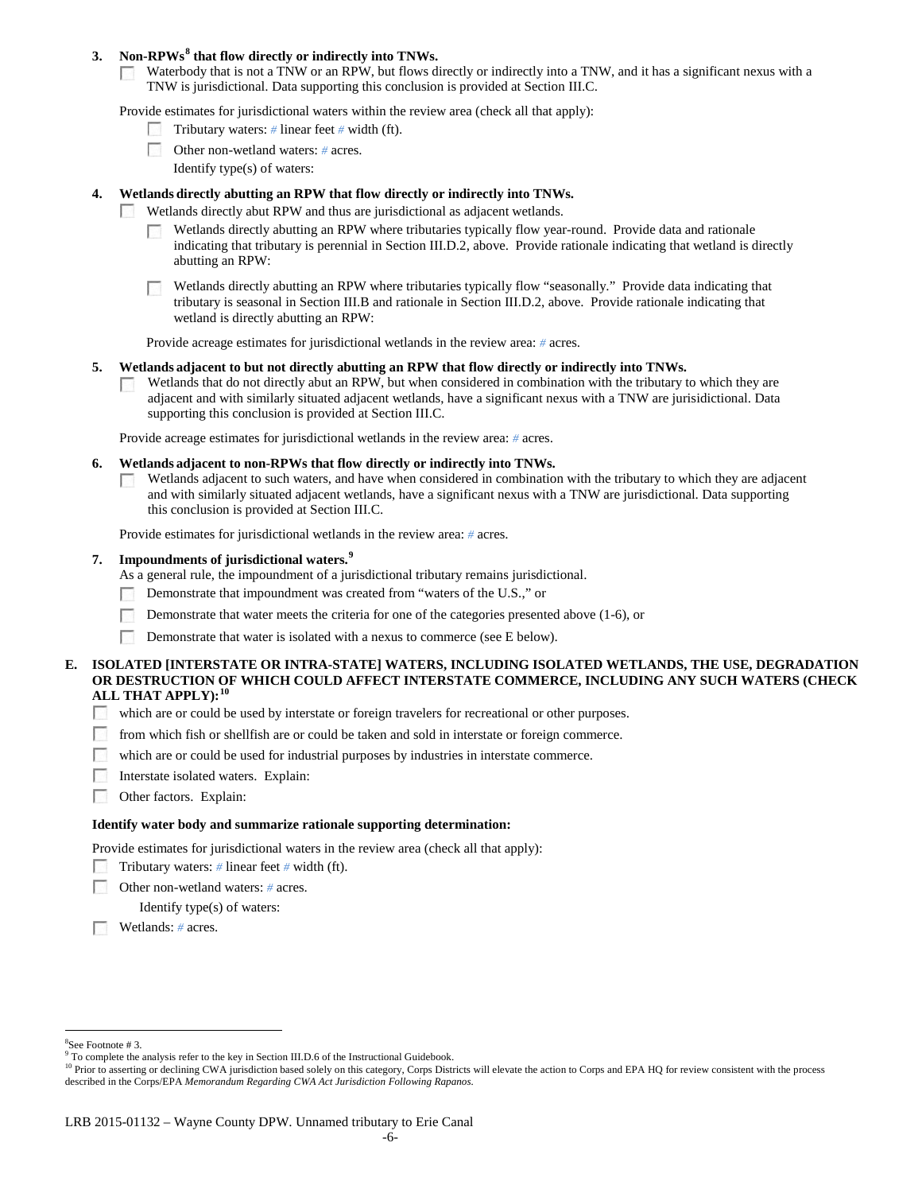## **3. Non-RPWs[8](#page-5-0) that flow directly or indirectly into TNWs.**

Waterbody that is not a TNW or an RPW, but flows directly or indirectly into a TNW, and it has a significant nexus with a  $\sim 10$ TNW is jurisdictional. Data supporting this conclusion is provided at Section III.C.

Provide estimates for jurisdictional waters within the review area (check all that apply):

- Tributary waters: *#* linear feet *#* width (ft).
- Other non-wetland waters: *#* acres.
	- Identify type(s) of waters:

## **4. Wetlands directly abutting an RPW that flow directly or indirectly into TNWs.**

- **Barbara** Wetlands directly abut RPW and thus are jurisdictional as adjacent wetlands.
	- Wetlands directly abutting an RPW where tributaries typically flow year-round. Provide data and rationale indicating that tributary is perennial in Section III.D.2, above. Provide rationale indicating that wetland is directly abutting an RPW:

Wetlands directly abutting an RPW where tributaries typically flow "seasonally." Provide data indicating that tributary is seasonal in Section III.B and rationale in Section III.D.2, above. Provide rationale indicating that wetland is directly abutting an RPW:

Provide acreage estimates for jurisdictional wetlands in the review area: *#* acres.

### **5. Wetlands adjacent to but not directly abutting an RPW that flow directly or indirectly into TNWs.**

Wetlands that do not directly abut an RPW, but when considered in combination with the tributary to which they are  $\sim$ adjacent and with similarly situated adjacent wetlands, have a significant nexus with a TNW are jurisidictional. Data supporting this conclusion is provided at Section III.C.

Provide acreage estimates for jurisdictional wetlands in the review area: *#* acres.

- **6. Wetlands adjacent to non-RPWs that flow directly or indirectly into TNWs.** 
	- Wetlands adjacent to such waters, and have when considered in combination with the tributary to which they are adjacent  $\sim$ and with similarly situated adjacent wetlands, have a significant nexus with a TNW are jurisdictional. Data supporting this conclusion is provided at Section III.C.

Provide estimates for jurisdictional wetlands in the review area: *#* acres.

## **7. Impoundments of jurisdictional waters. [9](#page-5-1)**

As a general rule, the impoundment of a jurisdictional tributary remains jurisdictional.

- Demonstrate that impoundment was created from "waters of the U.S.," or
- Demonstrate that water meets the criteria for one of the categories presented above (1-6), or
- Demonstrate that water is isolated with a nexus to commerce (see E below). <u>г.</u>

## **E. ISOLATED [INTERSTATE OR INTRA-STATE] WATERS, INCLUDING ISOLATED WETLANDS, THE USE, DEGRADATION OR DESTRUCTION OF WHICH COULD AFFECT INTERSTATE COMMERCE, INCLUDING ANY SUCH WATERS (CHECK ALL THAT APPLY):[10](#page-5-2)**

- which are or could be used by interstate or foreign travelers for recreational or other purposes.
- **1999** from which fish or shellfish are or could be taken and sold in interstate or foreign commerce.
- $\langle \cdot, \cdot \rangle$ which are or could be used for industrial purposes by industries in interstate commerce.
- **1999** Interstate isolated waters.Explain:
- 55 Other factors.Explain:

#### **Identify water body and summarize rationale supporting determination:**

Provide estimates for jurisdictional waters in the review area (check all that apply):

- Tributary waters: # linear feet # width (ft).
- Е Other non-wetland waters: *#* acres.

Identify type(s) of waters:

Wetlands: *#* acres.

 $\frac{1}{8}$ See Footnote # 3.

<span id="page-5-2"></span><span id="page-5-1"></span><span id="page-5-0"></span><sup>&</sup>lt;sup>9</sup> To complete the analysis refer to the key in Section III.D.6 of the Instructional Guidebook.

<sup>&</sup>lt;sup>10</sup> Prior to asserting or declining CWA jurisdiction based solely on this category, Corps Districts will elevate the action to Corps and EPA HQ for review consistent with the process described in the Corps/EPA *Memorandum Regarding CWA Act Jurisdiction Following Rapanos.*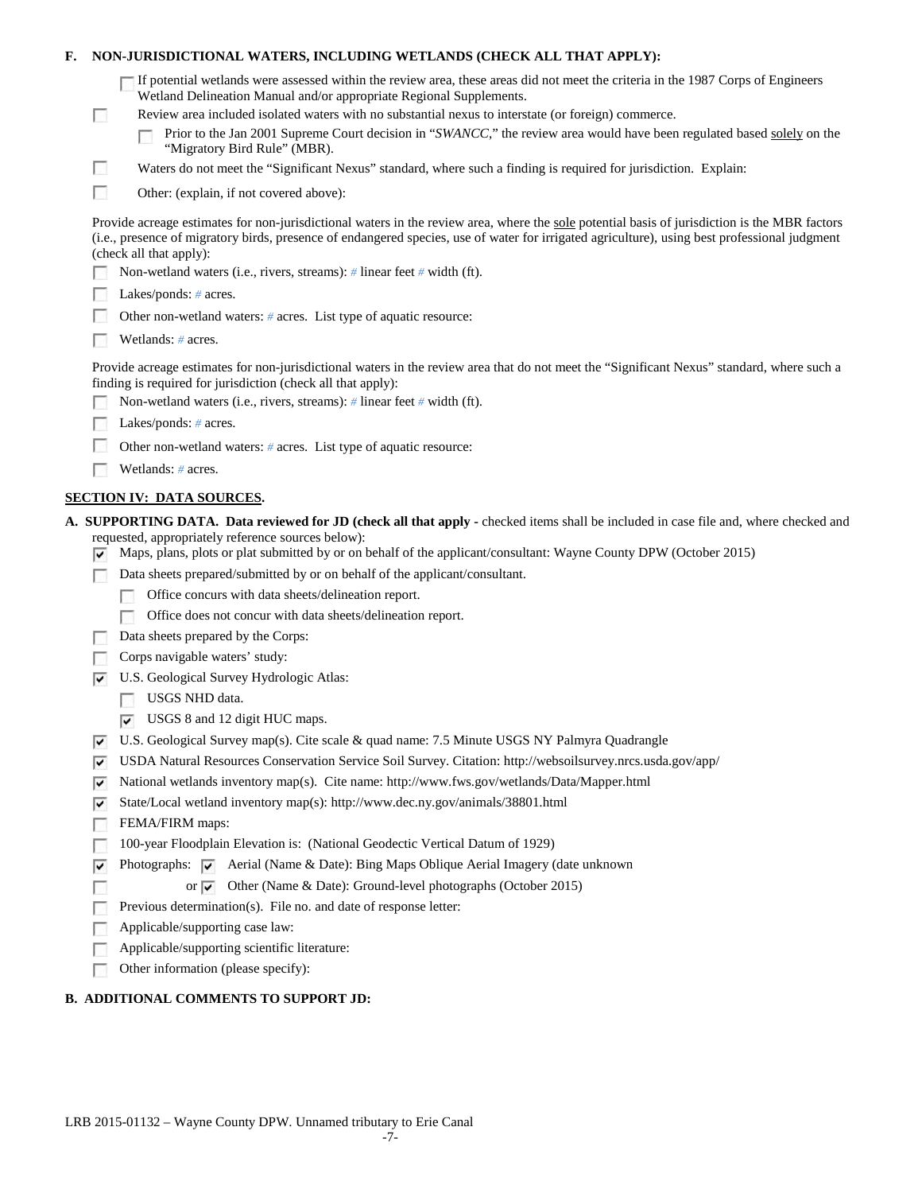| NON-JURISDICTIONAL WATERS, INCLUDING WETLANDS (CHECK ALL THAT APPLY):<br>F.                                                                                                                                |        |                                                                                                                                                                                                                                                                                                                           |  |  |
|------------------------------------------------------------------------------------------------------------------------------------------------------------------------------------------------------------|--------|---------------------------------------------------------------------------------------------------------------------------------------------------------------------------------------------------------------------------------------------------------------------------------------------------------------------------|--|--|
|                                                                                                                                                                                                            |        | If potential wetlands were assessed within the review area, these areas did not meet the criteria in the 1987 Corps of Engineers<br>Wetland Delineation Manual and/or appropriate Regional Supplements.                                                                                                                   |  |  |
|                                                                                                                                                                                                            | $\sim$ | Review area included isolated waters with no substantial nexus to interstate (or foreign) commerce.<br>Prior to the Jan 2001 Supreme Court decision in "SWANCC," the review area would have been regulated based solely on the<br>"Migratory Bird Rule" (MBR).                                                            |  |  |
|                                                                                                                                                                                                            | H      | Waters do not meet the "Significant Nexus" standard, where such a finding is required for jurisdiction. Explain:                                                                                                                                                                                                          |  |  |
|                                                                                                                                                                                                            | п      | Other: (explain, if not covered above):                                                                                                                                                                                                                                                                                   |  |  |
|                                                                                                                                                                                                            |        | Provide acreage estimates for non-jurisdictional waters in the review area, where the sole potential basis of jurisdiction is the MBR factors<br>(i.e., presence of migratory birds, presence of endangered species, use of water for irrigated agriculture), using best professional judgment<br>(check all that apply): |  |  |
|                                                                                                                                                                                                            |        | Non-wetland waters (i.e., rivers, streams): # linear feet # width (ft).                                                                                                                                                                                                                                                   |  |  |
|                                                                                                                                                                                                            |        | Lakes/ponds: $# \, \text{acres.}$                                                                                                                                                                                                                                                                                         |  |  |
|                                                                                                                                                                                                            |        | Other non-wetland waters: $#$ acres. List type of aquatic resource:                                                                                                                                                                                                                                                       |  |  |
|                                                                                                                                                                                                            |        | Wetlands: $#$ acres.                                                                                                                                                                                                                                                                                                      |  |  |
| Provide acreage estimates for non-jurisdictional waters in the review area that do not meet the "Significant Nexus" standard, where such a<br>finding is required for jurisdiction (check all that apply): |        |                                                                                                                                                                                                                                                                                                                           |  |  |
|                                                                                                                                                                                                            |        | Non-wetland waters (i.e., rivers, streams): # linear feet # width (ft).                                                                                                                                                                                                                                                   |  |  |
|                                                                                                                                                                                                            |        | Lakes/ponds: $# \, \text{acres.}$                                                                                                                                                                                                                                                                                         |  |  |
|                                                                                                                                                                                                            |        | Other non-wetland waters: $#$ acres. List type of aquatic resource:                                                                                                                                                                                                                                                       |  |  |
|                                                                                                                                                                                                            |        | Wetlands: $#$ acres.                                                                                                                                                                                                                                                                                                      |  |  |
|                                                                                                                                                                                                            |        | <b>SECTION IV: DATA SOURCES.</b>                                                                                                                                                                                                                                                                                          |  |  |
|                                                                                                                                                                                                            | է      | A. SUPPORTING DATA. Data reviewed for JD (check all that apply - checked items shall be included in case file and, where checked and<br>requested, appropriately reference sources below):<br>Maps, plans, plots or plat submitted by or on behalf of the applicant/consultant: Wayne County DPW (October 2015)           |  |  |
|                                                                                                                                                                                                            |        | Data sheets prepared/submitted by or on behalf of the applicant/consultant.                                                                                                                                                                                                                                               |  |  |
|                                                                                                                                                                                                            |        | Office concurs with data sheets/delineation report.                                                                                                                                                                                                                                                                       |  |  |
|                                                                                                                                                                                                            |        | Office does not concur with data sheets/delineation report.                                                                                                                                                                                                                                                               |  |  |
|                                                                                                                                                                                                            |        | Data sheets prepared by the Corps:                                                                                                                                                                                                                                                                                        |  |  |
|                                                                                                                                                                                                            |        | Corps navigable waters' study:                                                                                                                                                                                                                                                                                            |  |  |
|                                                                                                                                                                                                            | է      | U.S. Geological Survey Hydrologic Atlas:                                                                                                                                                                                                                                                                                  |  |  |
|                                                                                                                                                                                                            |        | USGS NHD data.                                                                                                                                                                                                                                                                                                            |  |  |
|                                                                                                                                                                                                            |        | $\triangledown$ USGS 8 and 12 digit HUC maps.                                                                                                                                                                                                                                                                             |  |  |
|                                                                                                                                                                                                            | ∣V     | U.S. Geological Survey map(s). Cite scale & quad name: 7.5 Minute USGS NY Palmyra Quadrangle                                                                                                                                                                                                                              |  |  |
|                                                                                                                                                                                                            | ⊽      | USDA Natural Resources Conservation Service Soil Survey. Citation: http://websoilsurvey.nrcs.usda.gov/app/                                                                                                                                                                                                                |  |  |
|                                                                                                                                                                                                            | ▽      | National wetlands inventory map(s). Cite name: http://www.fws.gov/wetlands/Data/Mapper.html                                                                                                                                                                                                                               |  |  |
|                                                                                                                                                                                                            | ∣V     | State/Local wetland inventory map(s): http://www.dec.ny.gov/animals/38801.html                                                                                                                                                                                                                                            |  |  |
|                                                                                                                                                                                                            |        | FEMA/FIRM maps:                                                                                                                                                                                                                                                                                                           |  |  |
|                                                                                                                                                                                                            |        | 100-year Floodplain Elevation is: (National Geodectic Vertical Datum of 1929)                                                                                                                                                                                                                                             |  |  |
|                                                                                                                                                                                                            | ⊽      | Photographs: $\overline{\blacktriangledown}$ Aerial (Name & Date): Bing Maps Oblique Aerial Imagery (date unknown                                                                                                                                                                                                         |  |  |
|                                                                                                                                                                                                            |        | Other (Name & Date): Ground-level photographs (October 2015)<br>or $\overline{\mathbf{v}}$<br>Previous determination(s). File no. and date of response letter:                                                                                                                                                            |  |  |
|                                                                                                                                                                                                            |        | Applicable/supporting case law:                                                                                                                                                                                                                                                                                           |  |  |
|                                                                                                                                                                                                            |        | Applicable/supporting scientific literature:                                                                                                                                                                                                                                                                              |  |  |
|                                                                                                                                                                                                            |        | Other information (please specify):                                                                                                                                                                                                                                                                                       |  |  |
|                                                                                                                                                                                                            |        |                                                                                                                                                                                                                                                                                                                           |  |  |

## **B. ADDITIONAL COMMENTS TO SUPPORT JD:**